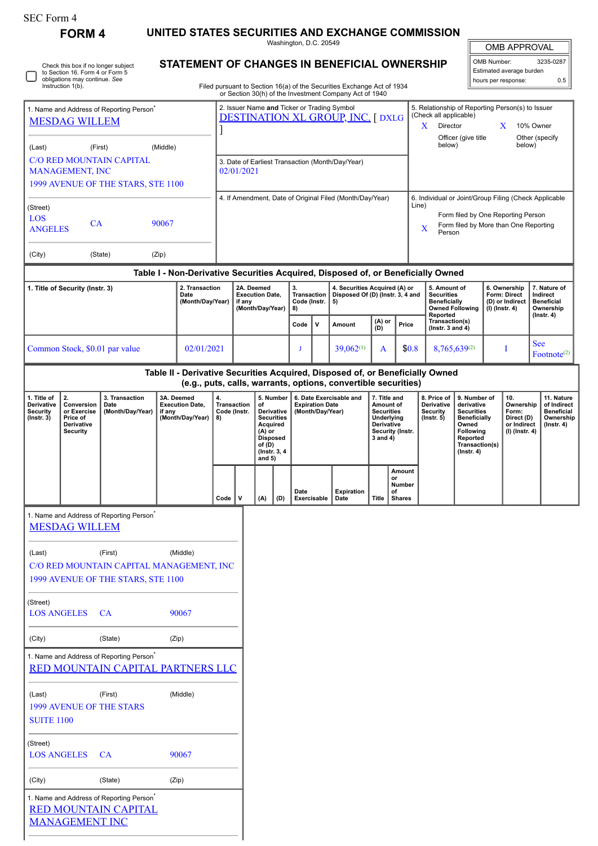| SEC Form 4                                                                                                                   |                                                                              |                                                                                           |                                                                    |                                                                                                                                                                                  |                                                                                         |                                         |                                                                                                                                      |                                                                         |                                                                       |             |                                                                                                                                                 |                                                                                    |                                                                                                                                                              |                                                                     |                                                                 |                                                                                                                                                |                  |                                                                            |                                                                                 |
|------------------------------------------------------------------------------------------------------------------------------|------------------------------------------------------------------------------|-------------------------------------------------------------------------------------------|--------------------------------------------------------------------|----------------------------------------------------------------------------------------------------------------------------------------------------------------------------------|-----------------------------------------------------------------------------------------|-----------------------------------------|--------------------------------------------------------------------------------------------------------------------------------------|-------------------------------------------------------------------------|-----------------------------------------------------------------------|-------------|-------------------------------------------------------------------------------------------------------------------------------------------------|------------------------------------------------------------------------------------|--------------------------------------------------------------------------------------------------------------------------------------------------------------|---------------------------------------------------------------------|-----------------------------------------------------------------|------------------------------------------------------------------------------------------------------------------------------------------------|------------------|----------------------------------------------------------------------------|---------------------------------------------------------------------------------|
|                                                                                                                              | <b>FORM 4</b>                                                                |                                                                                           |                                                                    |                                                                                                                                                                                  |                                                                                         |                                         |                                                                                                                                      |                                                                         | Washington, D.C. 20549                                                |             | UNITED STATES SECURITIES AND EXCHANGE COMMISSION                                                                                                |                                                                                    |                                                                                                                                                              |                                                                     |                                                                 |                                                                                                                                                |                  | <b>OMB APPROVAL</b>                                                        |                                                                                 |
| Check this box if no longer subject<br>to Section 16. Form 4 or Form 5<br>obligations may continue. See<br>Instruction 1(b). |                                                                              |                                                                                           |                                                                    | STATEMENT OF CHANGES IN BENEFICIAL OWNERSHIP<br>Filed pursuant to Section 16(a) of the Securities Exchange Act of 1934<br>or Section 30(h) of the Investment Company Act of 1940 |                                                                                         |                                         |                                                                                                                                      |                                                                         |                                                                       |             |                                                                                                                                                 |                                                                                    |                                                                                                                                                              |                                                                     | OMB Number:                                                     | Estimated average burden<br>hours per response:                                                                                                | 3235-0287<br>0.5 |                                                                            |                                                                                 |
|                                                                                                                              |                                                                              |                                                                                           |                                                                    |                                                                                                                                                                                  |                                                                                         |                                         |                                                                                                                                      |                                                                         |                                                                       |             |                                                                                                                                                 |                                                                                    |                                                                                                                                                              |                                                                     |                                                                 |                                                                                                                                                |                  |                                                                            |                                                                                 |
| 1. Name and Address of Reporting Person <sup>®</sup><br><b>MESDAG WILLEM</b>                                                 |                                                                              |                                                                                           |                                                                    |                                                                                                                                                                                  | 2. Issuer Name and Ticker or Trading Symbol<br><b>DESTINATION XL GROUP, INC. [ DXLG</b> |                                         |                                                                                                                                      |                                                                         |                                                                       |             |                                                                                                                                                 |                                                                                    | 5. Relationship of Reporting Person(s) to Issuer<br>(Check all applicable)<br>$\mathbf{X}$<br>Director<br>X<br>10% Owner                                     |                                                                     |                                                                 |                                                                                                                                                |                  |                                                                            |                                                                                 |
| (Middle)<br>(First)<br>(Last)                                                                                                |                                                                              |                                                                                           |                                                                    |                                                                                                                                                                                  |                                                                                         |                                         |                                                                                                                                      |                                                                         |                                                                       |             |                                                                                                                                                 |                                                                                    | below)                                                                                                                                                       | Officer (give title                                                 |                                                                 | below)                                                                                                                                         | Other (specify   |                                                                            |                                                                                 |
| <b>C/O RED MOUNTAIN CAPITAL</b><br><b>MANAGEMENT, INC</b>                                                                    |                                                                              |                                                                                           |                                                                    |                                                                                                                                                                                  | 3. Date of Earliest Transaction (Month/Day/Year)<br>02/01/2021                          |                                         |                                                                                                                                      |                                                                         |                                                                       |             |                                                                                                                                                 |                                                                                    |                                                                                                                                                              |                                                                     |                                                                 |                                                                                                                                                |                  |                                                                            |                                                                                 |
|                                                                                                                              |                                                                              | 1999 AVENUE OF THE STARS, STE 1100                                                        |                                                                    |                                                                                                                                                                                  |                                                                                         |                                         |                                                                                                                                      |                                                                         |                                                                       |             |                                                                                                                                                 |                                                                                    |                                                                                                                                                              |                                                                     |                                                                 |                                                                                                                                                |                  |                                                                            |                                                                                 |
| (Street)<br>LOS<br><b>CA</b><br>90067<br><b>ANGELES</b>                                                                      |                                                                              |                                                                                           |                                                                    |                                                                                                                                                                                  | 4. If Amendment, Date of Original Filed (Month/Day/Year)                                |                                         |                                                                                                                                      |                                                                         |                                                                       |             |                                                                                                                                                 |                                                                                    | 6. Individual or Joint/Group Filing (Check Applicable<br>Line)<br>Form filed by One Reporting Person<br>Form filed by More than One Reporting<br>X<br>Person |                                                                     |                                                                 |                                                                                                                                                |                  |                                                                            |                                                                                 |
| (City)                                                                                                                       |                                                                              | (State)                                                                                   | (Zip)                                                              |                                                                                                                                                                                  |                                                                                         |                                         |                                                                                                                                      |                                                                         |                                                                       |             |                                                                                                                                                 |                                                                                    |                                                                                                                                                              |                                                                     |                                                                 |                                                                                                                                                |                  |                                                                            |                                                                                 |
|                                                                                                                              |                                                                              |                                                                                           |                                                                    |                                                                                                                                                                                  |                                                                                         |                                         |                                                                                                                                      |                                                                         |                                                                       |             | Table I - Non-Derivative Securities Acquired, Disposed of, or Beneficially Owned                                                                |                                                                                    |                                                                                                                                                              |                                                                     |                                                                 |                                                                                                                                                |                  |                                                                            |                                                                                 |
| 1. Title of Security (Instr. 3)<br>2. Transaction<br>Date<br>(Month/Day/Year)                                                |                                                                              |                                                                                           | 2A. Deemed<br><b>Execution Date,</b><br>if any<br>(Month/Day/Year) |                                                                                                                                                                                  |                                                                                         | 3.<br>Transaction<br>Code (Instr.<br>8) |                                                                                                                                      | 4. Securities Acquired (A) or<br>Disposed Of (D) (Instr. 3, 4 and<br>5) |                                                                       |             |                                                                                                                                                 | 5. Amount of<br><b>Securities</b><br><b>Beneficially</b><br><b>Owned Following</b> |                                                                                                                                                              | 6. Ownership<br>Form: Direct<br>(D) or Indirect<br>$(I)$ (lnstr. 4) |                                                                 | 7. Nature of<br>Indirect<br><b>Beneficial</b><br>Ownership                                                                                     |                  |                                                                            |                                                                                 |
|                                                                                                                              |                                                                              |                                                                                           |                                                                    |                                                                                                                                                                                  |                                                                                         |                                         |                                                                                                                                      |                                                                         | Code                                                                  | v           | Amount                                                                                                                                          | $(A)$ or<br>(D)                                                                    |                                                                                                                                                              | Price                                                               | Reported<br>Transaction(s)<br>( $lnstr. 3 and 4$ )              |                                                                                                                                                |                  |                                                                            | $($ Instr. 4 $)$                                                                |
| Common Stock, \$0.01 par value<br>02/01/2021                                                                                 |                                                                              |                                                                                           |                                                                    |                                                                                                                                                                                  |                                                                                         | J                                       |                                                                                                                                      | $39,062^{(1)}$                                                          | \$0.8<br>A                                                            |             | 8,765,639(2)                                                                                                                                    |                                                                                    |                                                                                                                                                              | <b>See</b><br>I<br>$\text{Footnote}^{(2)}$                          |                                                                 |                                                                                                                                                |                  |                                                                            |                                                                                 |
|                                                                                                                              |                                                                              |                                                                                           |                                                                    |                                                                                                                                                                                  |                                                                                         |                                         |                                                                                                                                      |                                                                         |                                                                       |             | Table II - Derivative Securities Acquired, Disposed of, or Beneficially Owned<br>(e.g., puts, calls, warrants, options, convertible securities) |                                                                                    |                                                                                                                                                              |                                                                     |                                                                 |                                                                                                                                                |                  |                                                                            |                                                                                 |
| 1. Title of<br>Derivative<br>Security<br>(Instr. 3)                                                                          | 2.<br>Conversion<br>or Exercise<br>Price of<br>Derivative<br><b>Security</b> | 3. Transaction<br>Date<br>(Month/Day/Year)                                                | 3A. Deemed<br><b>Execution Date,</b><br>if any<br>(Month/Day/Year) |                                                                                                                                                                                  | 4.<br><b>Transaction</b><br>Code (Instr.<br>8)                                          |                                         | 5. Number<br>of<br>Derivative<br><b>Securities</b><br>Acquired<br>$(A)$ or<br><b>Disposed</b><br>of (D)<br>(Instr. 3, 4)<br>and $5)$ |                                                                         | 6. Date Exercisable and<br><b>Expiration Date</b><br>(Month/Day/Year) |             |                                                                                                                                                 |                                                                                    | 7. Title and<br>Amount of<br><b>Securities</b><br>Underlying<br>Derivative<br>Security (Instr.<br>$3$ and $4)$                                               |                                                                     | 8. Price of<br>Derivative<br><b>Security</b><br>$($ Instr. $5)$ | 9. Number of<br>derivative<br><b>Securities</b><br><b>Beneficially</b><br>Owned<br>Following<br>Reported<br>Transaction(s)<br>$($ lnstr. 4 $)$ |                  | 10.<br>Ownership<br>Form:<br>Direct (D)<br>or Indirect<br>$(I)$ (Instr. 4) | 11. Nature<br>of Indirect<br><b>Beneficial</b><br>Ownership<br>$($ lnstr. 4 $)$ |
|                                                                                                                              |                                                                              |                                                                                           |                                                                    |                                                                                                                                                                                  | Code                                                                                    | $\mathsf{v}$                            | (A)                                                                                                                                  | (D)                                                                     | Date                                                                  | Exercisable | <b>Expiration</b><br>Date                                                                                                                       | <b>Title</b>                                                                       | or<br>of                                                                                                                                                     | Amount<br>Number<br><b>Shares</b>                                   |                                                                 |                                                                                                                                                |                  |                                                                            |                                                                                 |
|                                                                                                                              | <b>MESDAG WILLEM</b>                                                         | 1. Name and Address of Reporting Person <sup>®</sup>                                      |                                                                    |                                                                                                                                                                                  |                                                                                         |                                         |                                                                                                                                      |                                                                         |                                                                       |             |                                                                                                                                                 |                                                                                    |                                                                                                                                                              |                                                                     |                                                                 |                                                                                                                                                |                  |                                                                            |                                                                                 |
| (Last)                                                                                                                       |                                                                              | (First)<br>C/O RED MOUNTAIN CAPITAL MANAGEMENT, INC<br>1999 AVENUE OF THE STARS, STE 1100 | (Middle)                                                           |                                                                                                                                                                                  |                                                                                         |                                         |                                                                                                                                      |                                                                         |                                                                       |             |                                                                                                                                                 |                                                                                    |                                                                                                                                                              |                                                                     |                                                                 |                                                                                                                                                |                  |                                                                            |                                                                                 |
| (Street)<br><b>LOS ANGELES</b>                                                                                               |                                                                              | <b>CA</b>                                                                                 | 90067                                                              |                                                                                                                                                                                  |                                                                                         |                                         |                                                                                                                                      |                                                                         |                                                                       |             |                                                                                                                                                 |                                                                                    |                                                                                                                                                              |                                                                     |                                                                 |                                                                                                                                                |                  |                                                                            |                                                                                 |
| (City)                                                                                                                       |                                                                              | (State)                                                                                   | (Zip)                                                              |                                                                                                                                                                                  |                                                                                         |                                         |                                                                                                                                      |                                                                         |                                                                       |             |                                                                                                                                                 |                                                                                    |                                                                                                                                                              |                                                                     |                                                                 |                                                                                                                                                |                  |                                                                            |                                                                                 |
|                                                                                                                              |                                                                              | 1. Name and Address of Reporting Person <sup>*</sup><br>RED MOUNTAIN CAPITAL PARTNERS LLC |                                                                    |                                                                                                                                                                                  |                                                                                         |                                         |                                                                                                                                      |                                                                         |                                                                       |             |                                                                                                                                                 |                                                                                    |                                                                                                                                                              |                                                                     |                                                                 |                                                                                                                                                |                  |                                                                            |                                                                                 |
| (Last)<br><b>SUITE 1100</b>                                                                                                  |                                                                              | (First)<br><b>1999 AVENUE OF THE STARS</b>                                                | (Middle)                                                           |                                                                                                                                                                                  |                                                                                         |                                         |                                                                                                                                      |                                                                         |                                                                       |             |                                                                                                                                                 |                                                                                    |                                                                                                                                                              |                                                                     |                                                                 |                                                                                                                                                |                  |                                                                            |                                                                                 |
| (Street)<br><b>LOS ANGELES</b>                                                                                               |                                                                              | <b>CA</b>                                                                                 | 90067                                                              |                                                                                                                                                                                  |                                                                                         |                                         |                                                                                                                                      |                                                                         |                                                                       |             |                                                                                                                                                 |                                                                                    |                                                                                                                                                              |                                                                     |                                                                 |                                                                                                                                                |                  |                                                                            |                                                                                 |

| (City) | (State)                                                                                                      | (Zip) |
|--------|--------------------------------------------------------------------------------------------------------------|-------|
|        | 1. Name and Address of Reporting Person <sup>®</sup><br><b>RED MOUNTAIN CAPITAL</b><br><b>MANAGEMENT INC</b> |       |